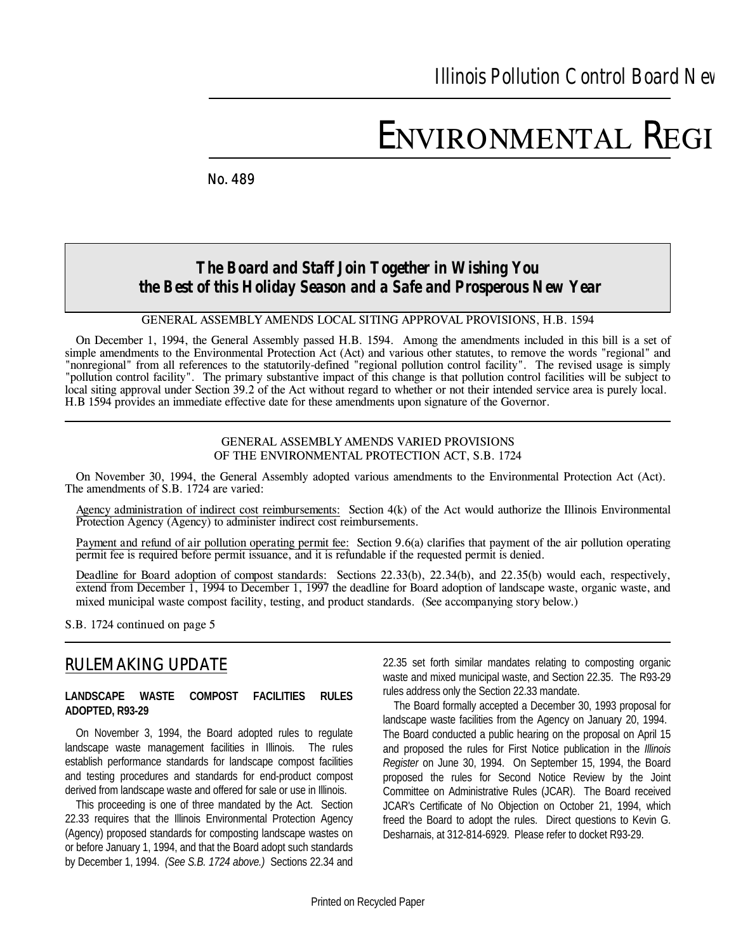# ENVIRONMENTAL REGI

*No. 489* **December, 1994 December, 1994 December, 1994** 

# *The Board and Staff Join Together in Wishing You the Best of this Holiday Season and a Safe and Prosperous New Year*

*GENERAL ASSEMBLY AMENDS LOCAL SITING APPROVAL PROVISIONS, H.B. 1594*

On December 1, 1994, the General Assembly passed H.B. 1594. Among the amendments included in this bill is a set of simple amendments to the Environmental Protection Act (Act) and various other statutes, to remove the words "regional" and "nonregional" from all references to the statutorily-defined "regional pollution control facility". The revised usage is simply "pollution control facility". The primary substantive impact of this change is that pollution control facilities will be subject to local siting approval under Section 39.2 of the Act without regard to whether or not their intended service area is purely local. H.B 1594 provides an immediate effective date for these amendments upon signature of the Governor.

#### *GENERAL ASSEMBLY AMENDS VARIED PROVISIONS OF THE ENVIRONMENTAL PROTECTION ACT, S.B. 1724*

On November 30, 1994, the General Assembly adopted various amendments to the Environmental Protection Act (Act). The amendments of S.B. 1724 are varied:

*Agency administration of indirect cost reimbursements:* Section 4(k) of the Act would authorize the Illinois Environmental Protection Agency (Agency) to administer indirect cost reimbursements.

*Payment and refund of air pollution operating permit fee:* Section 9.6(a) clarifies that payment of the air pollution operating permit fee is required before permit issuance, and it is refundable if the requested permit is denied.

*Deadline for Board adoption of compost standards:* Sections 22.33(b), 22.34(b), and 22.35(b) would each, respectively, extend from December 1, 1994 to December 1, 1997 the deadline for Board adoption of landscape waste, organic waste, and mixed municipal waste compost facility, testing, and product standards. *(See accompanying story below.)*

*S.B. 1724 continued on page 5*

# *RULEMAKING UPDATE*

#### **LANDSCAPE WASTE COMPOST FACILITIES RULES ADOPTED, R93-29**

On November 3, 1994, the Board adopted rules to regulate landscape waste management facilities in Illinois. The rules establish performance standards for landscape compost facilities and testing procedures and standards for end-product compost derived from landscape waste and offered for sale or use in Illinois.

This proceeding is one of three mandated by the Act. Section 22.33 requires that the Illinois Environmental Protection Agency (Agency) proposed standards for composting landscape wastes on or before January 1, 1994, and that the Board adopt such standards by December 1, 1994. *(See S.B. 1724 above.)* Sections 22.34 and

22.35 set forth similar mandates relating to composting organic waste and mixed municipal waste, and Section 22.35. The R93-29 rules address only the Section 22.33 mandate.

The Board formally accepted a December 30, 1993 proposal for landscape waste facilities from the Agency on January 20, 1994. The Board conducted a public hearing on the proposal on April 15 and proposed the rules for First Notice publication in the *Illinois Register* on June 30, 1994. On September 15, 1994, the Board proposed the rules for Second Notice Review by the Joint Committee on Administrative Rules (JCAR). The Board received JCAR's Certificate of No Objection on October 21, 1994, which freed the Board to adopt the rules. Direct questions to Kevin G. Desharnais, at 312-814-6929. Please refer to docket R93-29.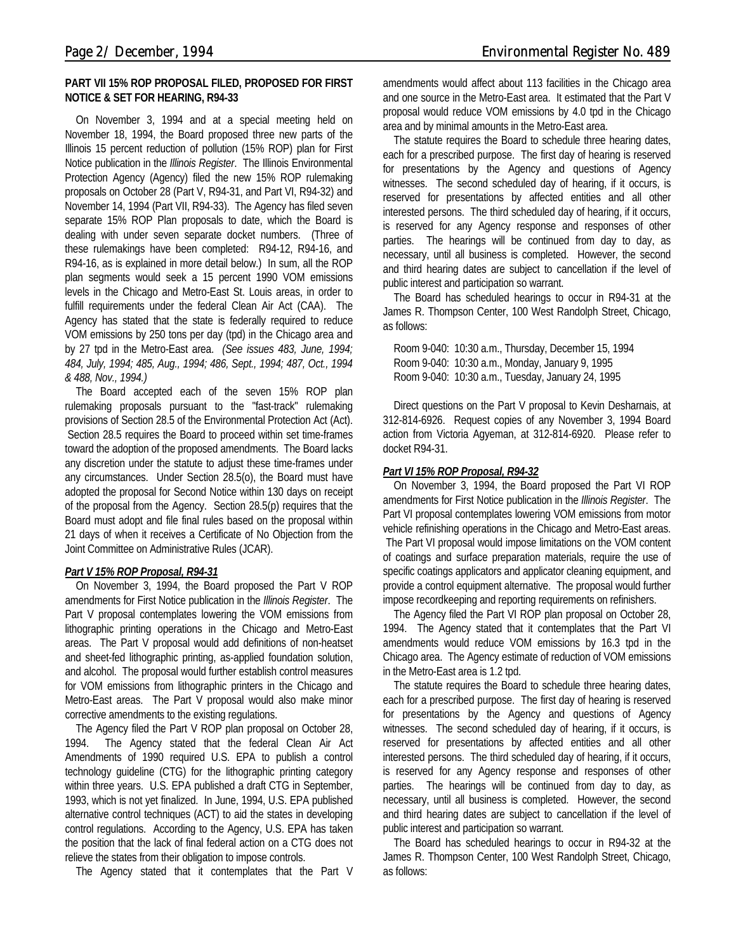#### **PART VII 15% ROP PROPOSAL FILED, PROPOSED FOR FIRST NOTICE & SET FOR HEARING, R94-33**

On November 3, 1994 and at a special meeting held on November 18, 1994, the Board proposed three new parts of the Illinois 15 percent reduction of pollution (15% ROP) plan for First Notice publication in the *Illinois Register*. The Illinois Environmental Protection Agency (Agency) filed the new 15% ROP rulemaking proposals on October 28 (Part V, R94-31, and Part VI, R94-32) and November 14, 1994 (Part VII, R94-33). The Agency has filed seven separate 15% ROP Plan proposals to date, which the Board is dealing with under seven separate docket numbers. (Three of these rulemakings have been completed: R94-12, R94-16, and R94-16, as is explained in more detail below.) In sum, all the ROP plan segments would seek a 15 percent 1990 VOM emissions levels in the Chicago and Metro-East St. Louis areas, in order to fulfill requirements under the federal Clean Air Act (CAA). The Agency has stated that the state is federally required to reduce VOM emissions by 250 tons per day (tpd) in the Chicago area and by 27 tpd in the Metro-East area. *(See issues 483, June, 1994; 484, July, 1994; 485, Aug., 1994; 486, Sept., 1994; 487, Oct., 1994 & 488, Nov., 1994.)*

The Board accepted each of the seven 15% ROP plan rulemaking proposals pursuant to the "fast-track" rulemaking provisions of Section 28.5 of the Environmental Protection Act (Act). Section 28.5 requires the Board to proceed within set time-frames toward the adoption of the proposed amendments. The Board lacks any discretion under the statute to adjust these time-frames under any circumstances. Under Section 28.5(o), the Board must have adopted the proposal for Second Notice within 130 days on receipt of the proposal from the Agency. Section 28.5(p) requires that the Board must adopt and file final rules based on the proposal within 21 days of when it receives a Certificate of No Objection from the Joint Committee on Administrative Rules (JCAR).

### *Part V 15% ROP Proposal, R94-31*

On November 3, 1994, the Board proposed the Part V ROP amendments for First Notice publication in the *Illinois Register*. The Part V proposal contemplates lowering the VOM emissions from lithographic printing operations in the Chicago and Metro-East areas. The Part V proposal would add definitions of non-heatset and sheet-fed lithographic printing, as-applied foundation solution, and alcohol. The proposal would further establish control measures for VOM emissions from lithographic printers in the Chicago and Metro-East areas. The Part V proposal would also make minor corrective amendments to the existing regulations.

The Agency filed the Part V ROP plan proposal on October 28, 1994. The Agency stated that the federal Clean Air Act Amendments of 1990 required U.S. EPA to publish a control technology guideline (CTG) for the lithographic printing category within three years. U.S. EPA published a draft CTG in September, 1993, which is not yet finalized. In June, 1994, U.S. EPA published alternative control techniques (ACT) to aid the states in developing control regulations. According to the Agency, U.S. EPA has taken the position that the lack of final federal action on a CTG does not relieve the states from their obligation to impose controls.

The Agency stated that it contemplates that the Part V

amendments would affect about 113 facilities in the Chicago area and one source in the Metro-East area. It estimated that the Part V proposal would reduce VOM emissions by 4.0 tpd in the Chicago area and by minimal amounts in the Metro-East area.

The statute requires the Board to schedule three hearing dates, each for a prescribed purpose. The first day of hearing is reserved for presentations by the Agency and questions of Agency witnesses. The second scheduled day of hearing, if it occurs, is reserved for presentations by affected entities and all other interested persons. The third scheduled day of hearing, if it occurs, is reserved for any Agency response and responses of other parties. The hearings will be continued from day to day, as necessary, until all business is completed. However, the second and third hearing dates are subject to cancellation if the level of public interest and participation so warrant.

The Board has scheduled hearings to occur in R94-31 at the James R. Thompson Center, 100 West Randolph Street, Chicago, as follows:

Room 9-040: 10:30 a.m., Thursday, December 15, 1994 Room 9-040: 10:30 a.m., Monday, January 9, 1995 Room 9-040: 10:30 a.m., Tuesday, January 24, 1995

Direct questions on the Part V proposal to Kevin Desharnais, at 312-814-6926. Request copies of any November 3, 1994 Board action from Victoria Agyeman, at 312-814-6920. Please refer to docket R94-31.

### *Part VI 15% ROP Proposal, R94-32*

On November 3, 1994, the Board proposed the Part VI ROP amendments for First Notice publication in the *Illinois Register*. The Part VI proposal contemplates lowering VOM emissions from motor vehicle refinishing operations in the Chicago and Metro-East areas. The Part VI proposal would impose limitations on the VOM content of coatings and surface preparation materials, require the use of specific coatings applicators and applicator cleaning equipment, and provide a control equipment alternative. The proposal would further impose recordkeeping and reporting requirements on refinishers.

The Agency filed the Part VI ROP plan proposal on October 28, 1994. The Agency stated that it contemplates that the Part VI amendments would reduce VOM emissions by 16.3 tpd in the Chicago area. The Agency estimate of reduction of VOM emissions in the Metro-East area is 1.2 tpd.

The statute requires the Board to schedule three hearing dates, each for a prescribed purpose. The first day of hearing is reserved for presentations by the Agency and questions of Agency witnesses. The second scheduled day of hearing, if it occurs, is reserved for presentations by affected entities and all other interested persons. The third scheduled day of hearing, if it occurs, is reserved for any Agency response and responses of other parties. The hearings will be continued from day to day, as necessary, until all business is completed. However, the second and third hearing dates are subject to cancellation if the level of public interest and participation so warrant.

The Board has scheduled hearings to occur in R94-32 at the James R. Thompson Center, 100 West Randolph Street, Chicago, as follows: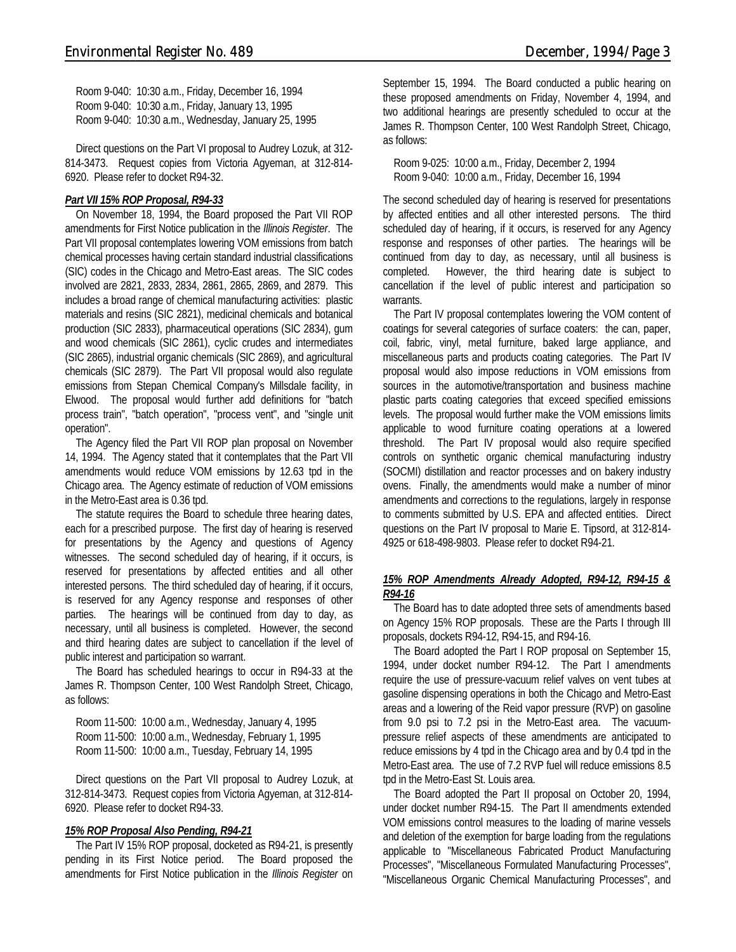Room 9-040: 10:30 a.m., Friday, December 16, 1994 Room 9-040: 10:30 a.m., Friday, January 13, 1995 Room 9-040: 10:30 a.m., Wednesday, January 25, 1995

Direct questions on the Part VI proposal to Audrey Lozuk, at 312- 814-3473. Request copies from Victoria Agyeman, at 312-814- 6920. Please refer to docket R94-32.

#### *Part VII 15% ROP Proposal, R94-33*

On November 18, 1994, the Board proposed the Part VII ROP amendments for First Notice publication in the *Illinois Register*. The Part VII proposal contemplates lowering VOM emissions from batch chemical processes having certain standard industrial classifications (SIC) codes in the Chicago and Metro-East areas. The SIC codes involved are 2821, 2833, 2834, 2861, 2865, 2869, and 2879. This includes a broad range of chemical manufacturing activities: plastic materials and resins (SIC 2821), medicinal chemicals and botanical production (SIC 2833), pharmaceutical operations (SIC 2834), gum and wood chemicals (SIC 2861), cyclic crudes and intermediates (SIC 2865), industrial organic chemicals (SIC 2869), and agricultural chemicals (SIC 2879). The Part VII proposal would also regulate emissions from Stepan Chemical Company's Millsdale facility, in Elwood. The proposal would further add definitions for "batch process train", "batch operation", "process vent", and "single unit operation".

The Agency filed the Part VII ROP plan proposal on November 14, 1994. The Agency stated that it contemplates that the Part VII amendments would reduce VOM emissions by 12.63 tpd in the Chicago area. The Agency estimate of reduction of VOM emissions in the Metro-East area is 0.36 tpd.

The statute requires the Board to schedule three hearing dates, each for a prescribed purpose. The first day of hearing is reserved for presentations by the Agency and questions of Agency witnesses. The second scheduled day of hearing, if it occurs, is reserved for presentations by affected entities and all other interested persons. The third scheduled day of hearing, if it occurs, is reserved for any Agency response and responses of other parties. The hearings will be continued from day to day, as necessary, until all business is completed. However, the second and third hearing dates are subject to cancellation if the level of public interest and participation so warrant.

The Board has scheduled hearings to occur in R94-33 at the James R. Thompson Center, 100 West Randolph Street, Chicago, as follows:

Room 11-500: 10:00 a.m., Wednesday, January 4, 1995 Room 11-500: 10:00 a.m., Wednesday, February 1, 1995 Room 11-500: 10:00 a.m., Tuesday, February 14, 1995

Direct questions on the Part VII proposal to Audrey Lozuk, at 312-814-3473. Request copies from Victoria Agyeman, at 312-814- 6920. Please refer to docket R94-33.

#### *15% ROP Proposal Also Pending, R94-21*

The Part IV 15% ROP proposal, docketed as R94-21, is presently pending in its First Notice period. The Board proposed the amendments for First Notice publication in the *Illinois Register* on September 15, 1994. The Board conducted a public hearing on these proposed amendments on Friday, November 4, 1994, and two additional hearings are presently scheduled to occur at the James R. Thompson Center, 100 West Randolph Street, Chicago, as follows:

Room 9-025: 10:00 a.m., Friday, December 2, 1994 Room 9-040: 10:00 a.m., Friday, December 16, 1994

The second scheduled day of hearing is reserved for presentations by affected entities and all other interested persons. The third scheduled day of hearing, if it occurs, is reserved for any Agency response and responses of other parties. The hearings will be continued from day to day, as necessary, until all business is completed. However, the third hearing date is subject to cancellation if the level of public interest and participation so warrants.

The Part IV proposal contemplates lowering the VOM content of coatings for several categories of surface coaters: the can, paper, coil, fabric, vinyl, metal furniture, baked large appliance, and miscellaneous parts and products coating categories. The Part IV proposal would also impose reductions in VOM emissions from sources in the automotive/transportation and business machine plastic parts coating categories that exceed specified emissions levels. The proposal would further make the VOM emissions limits applicable to wood furniture coating operations at a lowered threshold. The Part IV proposal would also require specified controls on synthetic organic chemical manufacturing industry (SOCMI) distillation and reactor processes and on bakery industry ovens. Finally, the amendments would make a number of minor amendments and corrections to the regulations, largely in response to comments submitted by U.S. EPA and affected entities. Direct questions on the Part IV proposal to Marie E. Tipsord, at 312-814- 4925 or 618-498-9803. Please refer to docket R94-21.

#### *15% ROP Amendments Already Adopted, R94-12, R94-15 & R94-16*

The Board has to date adopted three sets of amendments based on Agency 15% ROP proposals. These are the Parts I through III proposals, dockets R94-12, R94-15, and R94-16.

The Board adopted the Part I ROP proposal on September 15, 1994, under docket number R94-12. The Part I amendments require the use of pressure-vacuum relief valves on vent tubes at gasoline dispensing operations in both the Chicago and Metro-East areas and a lowering of the Reid vapor pressure (RVP) on gasoline from 9.0 psi to 7.2 psi in the Metro-East area. The vacuumpressure relief aspects of these amendments are anticipated to reduce emissions by 4 tpd in the Chicago area and by 0.4 tpd in the Metro-East area. The use of 7.2 RVP fuel will reduce emissions 8.5 tpd in the Metro-East St. Louis area.

The Board adopted the Part II proposal on October 20, 1994, under docket number R94-15. The Part II amendments extended VOM emissions control measures to the loading of marine vessels and deletion of the exemption for barge loading from the regulations applicable to "Miscellaneous Fabricated Product Manufacturing Processes", "Miscellaneous Formulated Manufacturing Processes", "Miscellaneous Organic Chemical Manufacturing Processes", and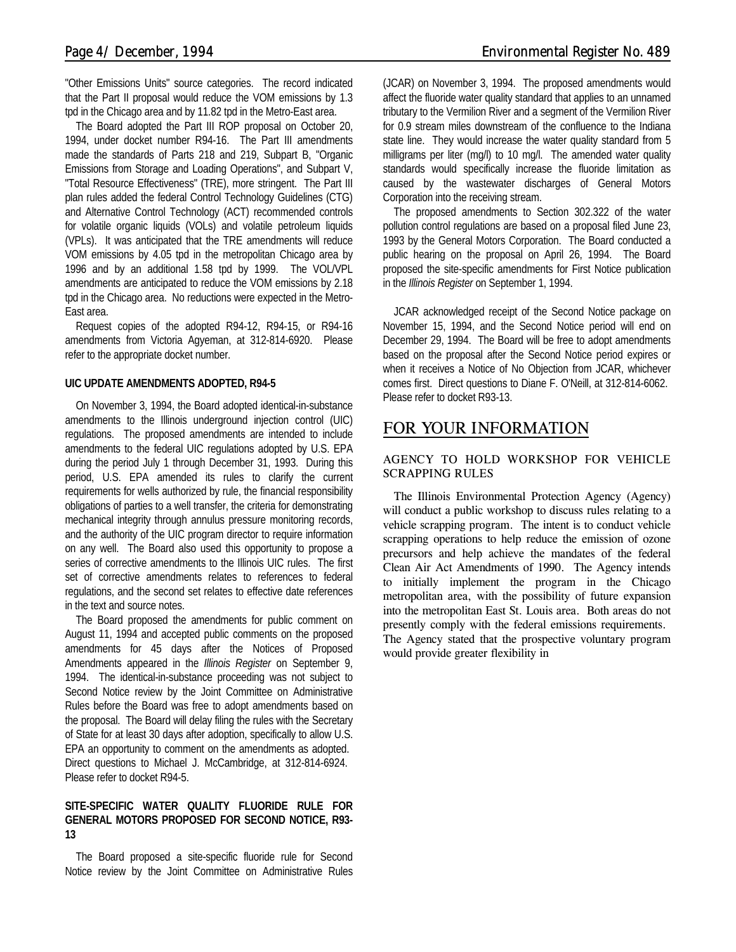"Other Emissions Units" source categories. The record indicated that the Part II proposal would reduce the VOM emissions by 1.3 tpd in the Chicago area and by 11.82 tpd in the Metro-East area.

The Board adopted the Part III ROP proposal on October 20, 1994, under docket number R94-16. The Part III amendments made the standards of Parts 218 and 219, Subpart B, "Organic Emissions from Storage and Loading Operations", and Subpart V, "Total Resource Effectiveness" (TRE), more stringent. The Part III plan rules added the federal Control Technology Guidelines (CTG) and Alternative Control Technology (ACT) recommended controls for volatile organic liquids (VOLs) and volatile petroleum liquids (VPLs). It was anticipated that the TRE amendments will reduce VOM emissions by 4.05 tpd in the metropolitan Chicago area by 1996 and by an additional 1.58 tpd by 1999. The VOL/VPL amendments are anticipated to reduce the VOM emissions by 2.18 tpd in the Chicago area. No reductions were expected in the Metro-East area.

Request copies of the adopted R94-12, R94-15, or R94-16 amendments from Victoria Agyeman, at 312-814-6920. Please refer to the appropriate docket number.

#### **UIC UPDATE AMENDMENTS ADOPTED, R94-5**

On November 3, 1994, the Board adopted identical-in-substance amendments to the Illinois underground injection control (UIC) regulations. The proposed amendments are intended to include amendments to the federal UIC regulations adopted by U.S. EPA during the period July 1 through December 31, 1993. During this period, U.S. EPA amended its rules to clarify the current requirements for wells authorized by rule, the financial responsibility obligations of parties to a well transfer, the criteria for demonstrating mechanical integrity through annulus pressure monitoring records, and the authority of the UIC program director to require information on any well. The Board also used this opportunity to propose a series of corrective amendments to the Illinois UIC rules. The first set of corrective amendments relates to references to federal regulations, and the second set relates to effective date references in the text and source notes.

The Board proposed the amendments for public comment on August 11, 1994 and accepted public comments on the proposed amendments for 45 days after the Notices of Proposed Amendments appeared in the *Illinois Register* on September 9, 1994. The identical-in-substance proceeding was not subject to Second Notice review by the Joint Committee on Administrative Rules before the Board was free to adopt amendments based on the proposal. The Board will delay filing the rules with the Secretary of State for at least 30 days after adoption, specifically to allow U.S. EPA an opportunity to comment on the amendments as adopted. Direct questions to Michael J. McCambridge, at 312-814-6924. Please refer to docket R94-5.

#### **SITE-SPECIFIC WATER QUALITY FLUORIDE RULE FOR GENERAL MOTORS PROPOSED FOR SECOND NOTICE, R93- 13**

The Board proposed a site-specific fluoride rule for Second Notice review by the Joint Committee on Administrative Rules

(JCAR) on November 3, 1994. The proposed amendments would affect the fluoride water quality standard that applies to an unnamed tributary to the Vermilion River and a segment of the Vermilion River for 0.9 stream miles downstream of the confluence to the Indiana state line. They would increase the water quality standard from 5 milligrams per liter (mg/l) to 10 mg/l. The amended water quality standards would specifically increase the fluoride limitation as caused by the wastewater discharges of General Motors Corporation into the receiving stream.

The proposed amendments to Section 302.322 of the water pollution control regulations are based on a proposal filed June 23, 1993 by the General Motors Corporation. The Board conducted a public hearing on the proposal on April 26, 1994. The Board proposed the site-specific amendments for First Notice publication in the *Illinois Register* on September 1, 1994.

JCAR acknowledged receipt of the Second Notice package on November 15, 1994, and the Second Notice period will end on December 29, 1994. The Board will be free to adopt amendments based on the proposal after the Second Notice period expires or when it receives a Notice of No Objection from JCAR, whichever comes first. Direct questions to Diane F. O'Neill, at 312-814-6062. Please refer to docket R93-13.

# *FOR YOUR INFORMATION*

### **AGENCY TO HOLD WORKSHOP FOR VEHICLE SCRAPPING RULES**

The Illinois Environmental Protection Agency (Agency) will conduct a public workshop to discuss rules relating to a vehicle scrapping program. The intent is to conduct vehicle scrapping operations to help reduce the emission of ozone precursors and help achieve the mandates of the federal Clean Air Act Amendments of 1990. The Agency intends to initially implement the program in the Chicago metropolitan area, with the possibility of future expansion into the metropolitan East St. Louis area. Both areas do not presently comply with the federal emissions requirements.

The Agency stated that the prospective voluntary program would provide greater flexibility in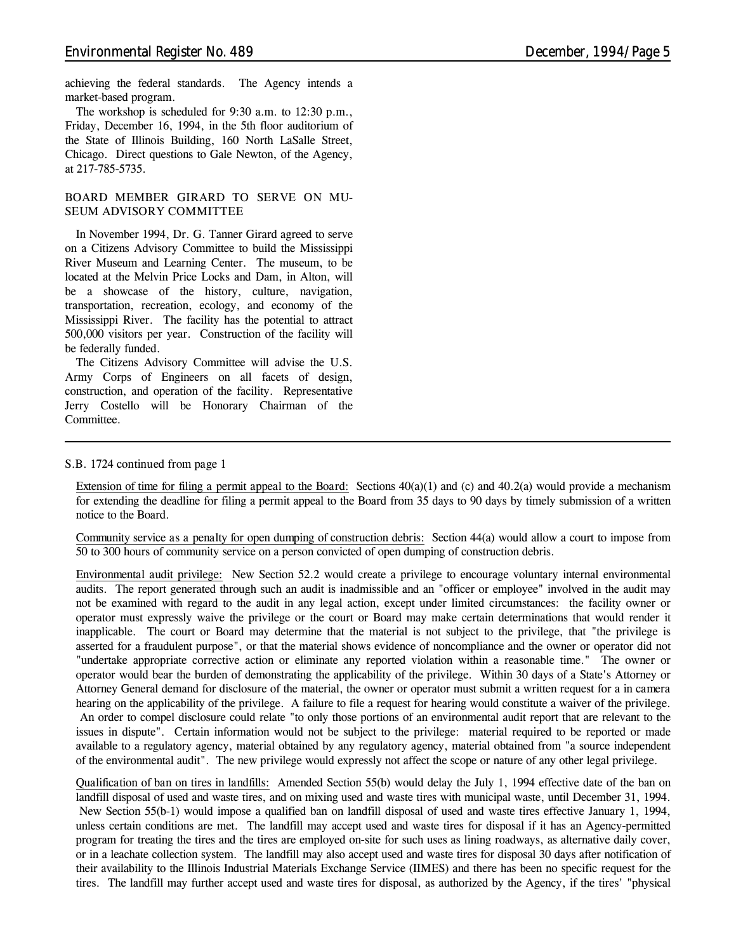achieving the federal standards. The Agency intends a market-based program.

The workshop is scheduled for 9:30 a.m. to 12:30 p.m., Friday, December 16, 1994, in the 5th floor auditorium of the State of Illinois Building, 160 North LaSalle Street, Chicago. Direct questions to Gale Newton, of the Agency, at 217-785-5735.

#### **BOARD MEMBER GIRARD TO SERVE ON MU-SEUM ADVISORY COMMITTEE**

In November 1994, Dr. G. Tanner Girard agreed to serve on a Citizens Advisory Committee to build the Mississippi River Museum and Learning Center. The museum, to be located at the Melvin Price Locks and Dam, in Alton, will be a showcase of the history, culture, navigation, transportation, recreation, ecology, and economy of the Mississippi River. The facility has the potential to attract 500,000 visitors per year. Construction of the facility will be federally funded.

The Citizens Advisory Committee will advise the U.S. Army Corps of Engineers on all facets of design, construction, and operation of the facility. Representative Jerry Costello will be Honorary Chairman of the Committee.

#### *S.B. 1724 continued from page 1*

*Extension of time for filing a permit appeal to the Board:* Sections 40(a)(1) and (c) and 40.2(a) would provide a mechanism for extending the deadline for filing a permit appeal to the Board from 35 days to 90 days by timely submission of a written notice to the Board.

*Community service as a penalty for open dumping of construction debris:* Section 44(a) would allow a court to impose from 50 to 300 hours of community service on a person convicted of open dumping of construction debris.

*Environmental audit privilege:* New Section 52.2 would create a privilege to encourage voluntary internal environmental audits. The report generated through such an audit is inadmissible and an "officer or employee" involved in the audit may not be examined with regard to the audit in any legal action, except under limited circumstances: the facility owner or operator must expressly waive the privilege or the court or Board may make certain determinations that would render it inapplicable. The court or Board may determine that the material is not subject to the privilege, that "the privilege is asserted for a fraudulent purpose", or that the material shows evidence of noncompliance and the owner or operator did not "undertake appropriate corrective action or eliminate any reported violation within a reasonable time." The owner or operator would bear the burden of demonstrating the applicability of the privilege. Within 30 days of a State's Attorney or Attorney General demand for disclosure of the material, the owner or operator must submit a written request for a *in camera* hearing on the applicability of the privilege. A failure to file a request for hearing would constitute a waiver of the privilege. An order to compel disclosure could relate "to only those portions of an environmental audit report that are relevant to the issues in dispute". Certain information would not be subject to the privilege: material required to be reported or made available to a regulatory agency, material obtained by any regulatory agency, material obtained from "a source independent of the environmental audit". The new privilege would expressly not affect the scope or nature of any other legal privilege.

*Qualification of ban on tires in landfills:* Amended Section 55(b) would delay the July 1, 1994 effective date of the ban on landfill disposal of used and waste tires, and on mixing used and waste tires with municipal waste, until December 31, 1994. New Section 55(b-1) would impose a qualified ban on landfill disposal of used and waste tires effective January 1, 1994, unless certain conditions are met. The landfill may accept used and waste tires for disposal if it has an Agency-permitted program for treating the tires and the tires are employed on-site for such uses as lining roadways, as alternative daily cover, or in a leachate collection system. The landfill may also accept used and waste tires for disposal 30 days after notification of their availability to the Illinois Industrial Materials Exchange Service (IIMES) and there has been no specific request for the tires. The landfill may further accept used and waste tires for disposal, as authorized by the Agency, if the tires' "physical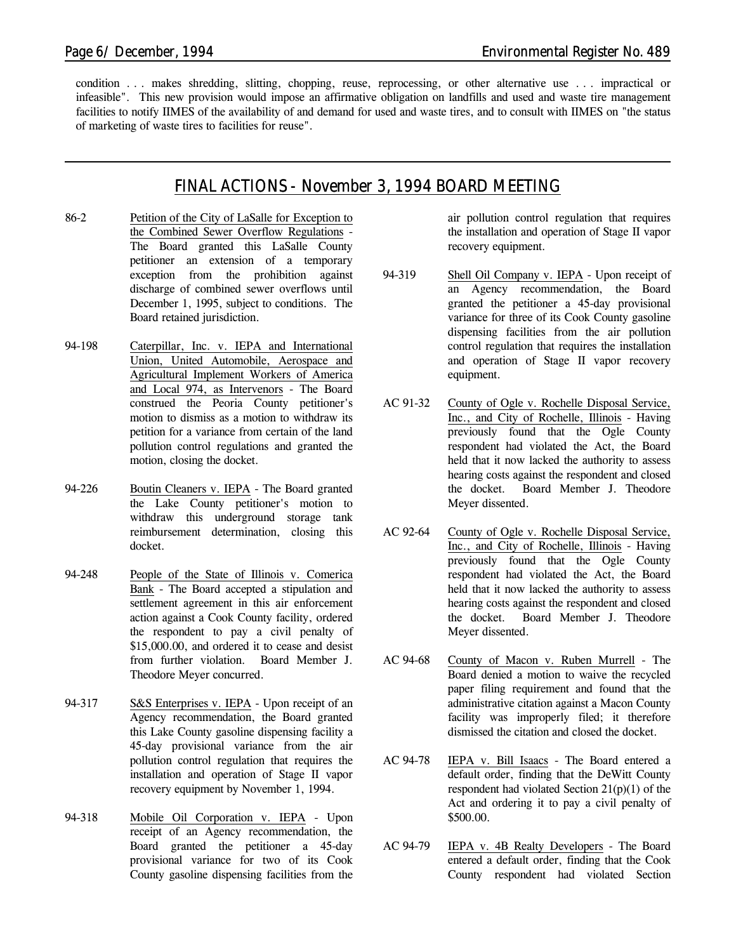condition . . . makes shredding, slitting, chopping, reuse, reprocessing, or other alternative use . . . impractical or infeasible". This new provision would impose an affirmative obligation on landfills and used and waste tire management facilities to notify IIMES of the availability of and demand for used and waste tires, and to consult with IIMES on "the status of marketing of waste tires to facilities for reuse".

# *FINAL ACTIONS - November 3, 1994 BOARD MEETING*

- 86-2 Petition of the City of LaSalle for Exception to the Combined Sewer Overflow Regulations - The Board granted this LaSalle County petitioner an extension of a temporary exception from the prohibition against discharge of combined sewer overflows until December 1, 1995, subject to conditions. The Board retained jurisdiction.
- 94-198 Caterpillar, Inc. v. IEPA and International Union, United Automobile, Aerospace and Agricultural Implement Workers of America and Local 974, as Intervenors - The Board construed the Peoria County petitioner's motion to dismiss as a motion to withdraw its petition for a variance from certain of the land pollution control regulations and granted the motion, closing the docket.
- 94-226 Boutin Cleaners v. IEPA The Board granted the Lake County petitioner's motion to withdraw this underground storage tank reimbursement determination, closing this docket.
- 94-248 People of the State of Illinois v. Comerica Bank - The Board accepted a stipulation and settlement agreement in this air enforcement action against a Cook County facility, ordered the respondent to pay a civil penalty of \$15,000.00, and ordered it to cease and desist from further violation. Board Member J. Theodore Meyer concurred.
- 94-317 S&S Enterprises v. IEPA Upon receipt of an Agency recommendation, the Board granted this Lake County gasoline dispensing facility a 45-day provisional variance from the air pollution control regulation that requires the installation and operation of Stage II vapor recovery equipment by November 1, 1994.
- 94-318 Mobile Oil Corporation v. IEPA Upon receipt of an Agency recommendation, the Board granted the petitioner a 45-day provisional variance for two of its Cook County gasoline dispensing facilities from the

air pollution control regulation that requires the installation and operation of Stage II vapor recovery equipment.

- 94-319 Shell Oil Company v. IEPA Upon receipt of an Agency recommendation, the Board granted the petitioner a 45-day provisional variance for three of its Cook County gasoline dispensing facilities from the air pollution control regulation that requires the installation and operation of Stage II vapor recovery equipment.
- AC 91-32 County of Ogle v. Rochelle Disposal Service, Inc., and City of Rochelle, Illinois - Having previously found that the Ogle County respondent had violated the Act, the Board held that it now lacked the authority to assess hearing costs against the respondent and closed the docket. Board Member J. Theodore Meyer dissented.
- AC 92-64 County of Ogle v. Rochelle Disposal Service, Inc., and City of Rochelle, Illinois - Having previously found that the Ogle County respondent had violated the Act, the Board held that it now lacked the authority to assess hearing costs against the respondent and closed the docket. Board Member J. Theodore Meyer dissented.
- AC 94-68 County of Macon v. Ruben Murrell The Board denied a motion to waive the recycled paper filing requirement and found that the administrative citation against a Macon County facility was improperly filed; it therefore dismissed the citation and closed the docket.
- AC 94-78 IEPA v. Bill Isaacs The Board entered a default order, finding that the DeWitt County respondent had violated Section 21(p)(1) of the Act and ordering it to pay a civil penalty of \$500.00.
- AC 94-79 IEPA v. 4B Realty Developers The Board entered a default order, finding that the Cook County respondent had violated Section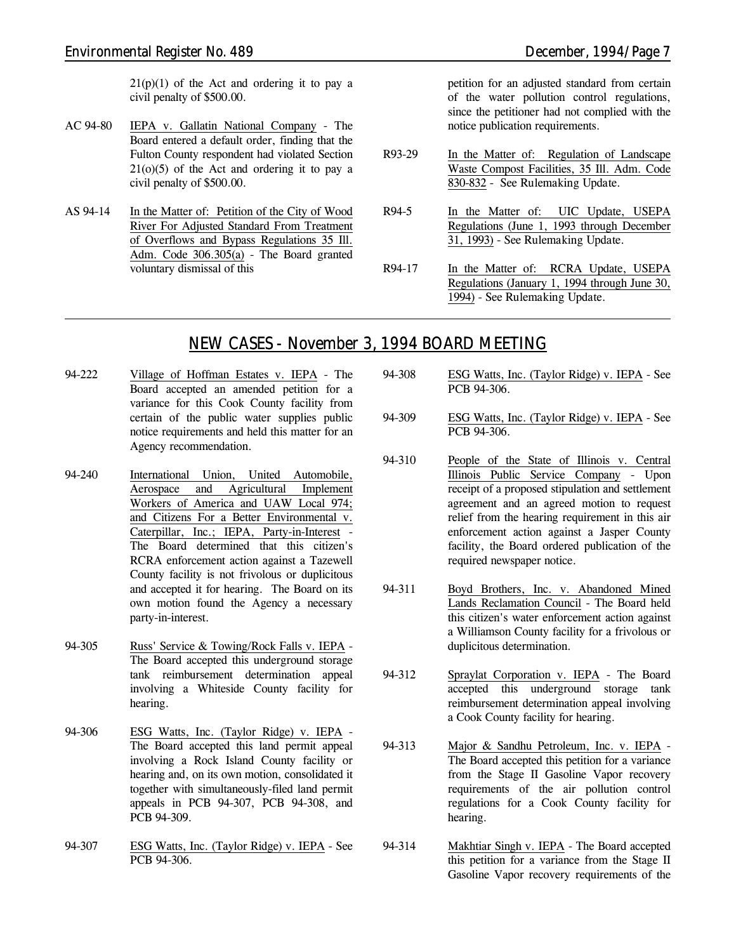$21(p)(1)$  of the Act and ordering it to pay a civil penalty of \$500.00.

- AC 94-80 IEPA v. Gallatin National Company The Board entered a default order, finding that the Fulton County respondent had violated Section  $21(0)(5)$  of the Act and ordering it to pay a civil penalty of \$500.00.
- AS 94-14 In the Matter of: Petition of the City of Wood River For Adjusted Standard From Treatment of Overflows and Bypass Regulations 35 Ill. Adm. Code 306.305(a) - The Board granted voluntary dismissal of this

petition for an adjusted standard from certain of the water pollution control regulations, since the petitioner had not complied with the notice publication requirements.

- R93-29 In the Matter of: Regulation of Landscape Waste Compost Facilities, 35 Ill. Adm. Code 830-832 - *See Rulemaking Update.*
- R94-5 In the Matter of: UIC Update, USEPA Regulations (June 1, 1993 through December 31, 1993) - *See Rulemaking Update.*
- R94-17 In the Matter of: RCRA Update, USEPA Regulations (January 1, 1994 through June 30, 1994) - *See Rulemaking Update.*

# *NEW CASES - November 3, 1994 BOARD MEETING*

- 94-222 Village of Hoffman Estates v. IEPA The Board accepted an amended petition for a variance for this Cook County facility from certain of the public water supplies public notice requirements and held this matter for an Agency recommendation.
- 94-240 International Union, United Automobile, Aerospace and Agricultural Implement Workers of America and UAW Local 974; and Citizens For a Better Environmental v. Caterpillar, Inc.; IEPA, Party-in-Interest - The Board determined that this citizen's RCRA enforcement action against a Tazewell County facility is not frivolous or duplicitous and accepted it for hearing. The Board on its own motion found the Agency a necessary party-in-interest.
- 94-305 Russ' Service & Towing/Rock Falls v. IEPA The Board accepted this underground storage tank reimbursement determination appeal involving a Whiteside County facility for hearing.
- 94-306 ESG Watts, Inc. (Taylor Ridge) v. IEPA The Board accepted this land permit appeal involving a Rock Island County facility or hearing and, on its own motion, consolidated it together with simultaneously-filed land permit appeals in PCB 94-307, PCB 94-308, and PCB 94-309.
- 94-307 ESG Watts, Inc. (Taylor Ridge) v. IEPA *See PCB 94-306.*
- 94-308 ESG Watts, Inc. (Taylor Ridge) v. IEPA *See PCB 94-306.*
- 94-309 ESG Watts, Inc. (Taylor Ridge) v. IEPA *See PCB 94-306.*
- 94-310 People of the State of Illinois v. Central Illinois Public Service Company - Upon receipt of a proposed stipulation and settlement agreement and an agreed motion to request relief from the hearing requirement in this air enforcement action against a Jasper County facility, the Board ordered publication of the required newspaper notice.
- 94-311 Boyd Brothers, Inc. v. Abandoned Mined Lands Reclamation Council - The Board held this citizen's water enforcement action against a Williamson County facility for a frivolous or duplicitous determination.
- 94-312 Spraylat Corporation v. IEPA The Board accepted this underground storage tank reimbursement determination appeal involving a Cook County facility for hearing.
- 94-313 Major & Sandhu Petroleum, Inc. v. IEPA The Board accepted this petition for a variance from the Stage II Gasoline Vapor recovery requirements of the air pollution control regulations for a Cook County facility for hearing.
- 94-314 Makhtiar Singh v. IEPA The Board accepted this petition for a variance from the Stage II Gasoline Vapor recovery requirements of the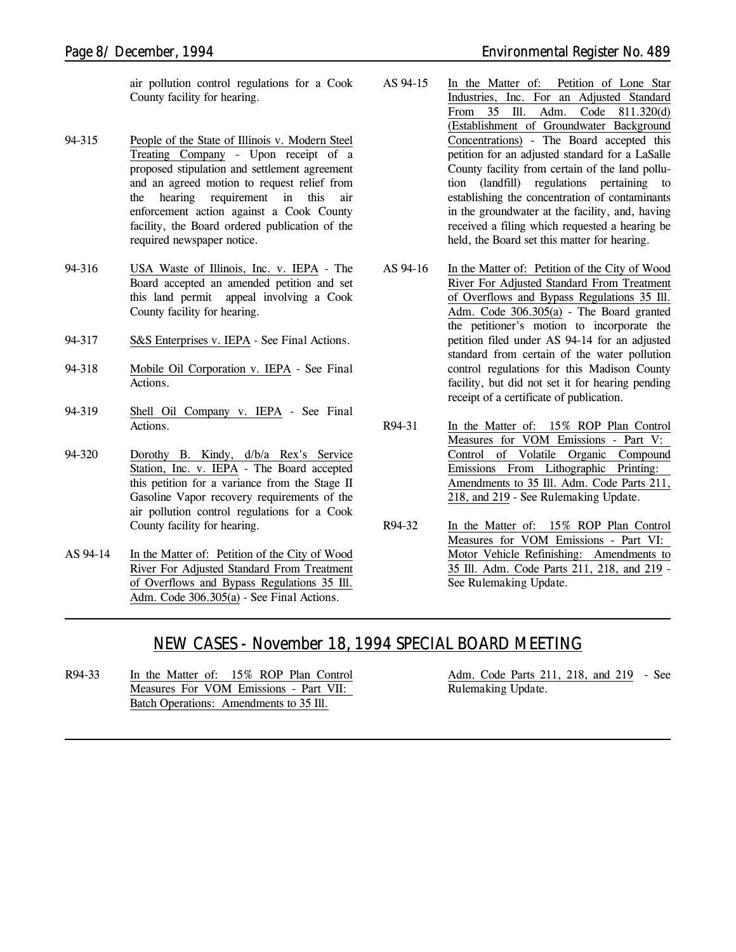air pollution control regulations for a Cook County facility for hearing.

- 94-315 People of the State of Illinois v. Modern Steel Treating Company - Upon receipt of a proposed stipulation and settlement agreement and an agreed motion to request relief from the hearing requirement in this air enforcement action against a Cook County facility, the Board ordered publication of the required newspaper notice.
- 94-316 USA Waste of Illinois, Inc. v. IEPA The Board accepted an amended petition and set this land permit appeal involving a Cook County facility for hearing.
- 94-317 S&S Enterprises v. IEPA *See Final Actions.*
- 94-318 Mobile Oil Corporation v. IEPA *See Final Actions.*
- 94-319 Shell Oil Company v. IEPA *See Final Actions.*
- 94-320 Dorothy B. Kindy, d/b/a Rex's Service Station, Inc. v. IEPA - The Board accepted this petition for  $\overline{a}$  variance from the Stage II Gasoline Vapor recovery requirements of the air pollution control regulations for a Cook County facility for hearing.
- AS 94-14 In the Matter of: Petition of the City of Wood River For Adjusted Standard From Treatment of Overflows and Bypass Regulations 35 Ill. Adm. Code 306.305(a) - *See Final Actions.*
- AS 94-15 In the Matter of: Petition of Lone Star Industries, Inc. For an Adjusted Standard From 35 Ill. Adm. Code 811.320(d) (Establishment of Groundwater Background Concentrations) - The Board accepted this petition for an adjusted standard for a LaSalle County facility from certain of the land pollution (landfill) regulations pertaining to establishing the concentration of contaminants in the groundwater at the facility, and, having received a filing which requested a hearing be held, the Board set this matter for hearing.
- AS 94-16 In the Matter of: Petition of the City of Wood River For Adjusted Standard From Treatment of Overflows and Bypass Regulations 35 Ill. Adm. Code 306.305(a) - The Board granted the petitioner's motion to incorporate the petition filed under AS 94-14 for an adjusted standard from certain of the water pollution control regulations for this Madison County facility, but did not set it for hearing pending receipt of a certificate of publication.
- R94-31 In the Matter of: 15% ROP Plan Control Measures for VOM Emissions - Part V: Control of Volatile Organic Compound Emissions From Lithographic Printing: Amendments to 35 Ill. Adm. Code Parts 211, 218, and 219 - *See Rulemaking Update.*
- R94-32 In the Matter of: 15% ROP Plan Control Measures for VOM Emissions - Part VI: Motor Vehicle Refinishing: Amendments to 35 Ill. Adm. Code Parts 211, 218, and 219 - *See Rulemaking Update.*

# *NEW CASES - November 18, 1994 SPECIAL BOARD MEETING*

R94-33 In the Matter of: 15% ROP Plan Control Measures For VOM Emissions - Part VII: Batch Operations: Amendments to 35 Ill.

Adm. Code Parts 211, 218, and 219 - *See Rulemaking Update.*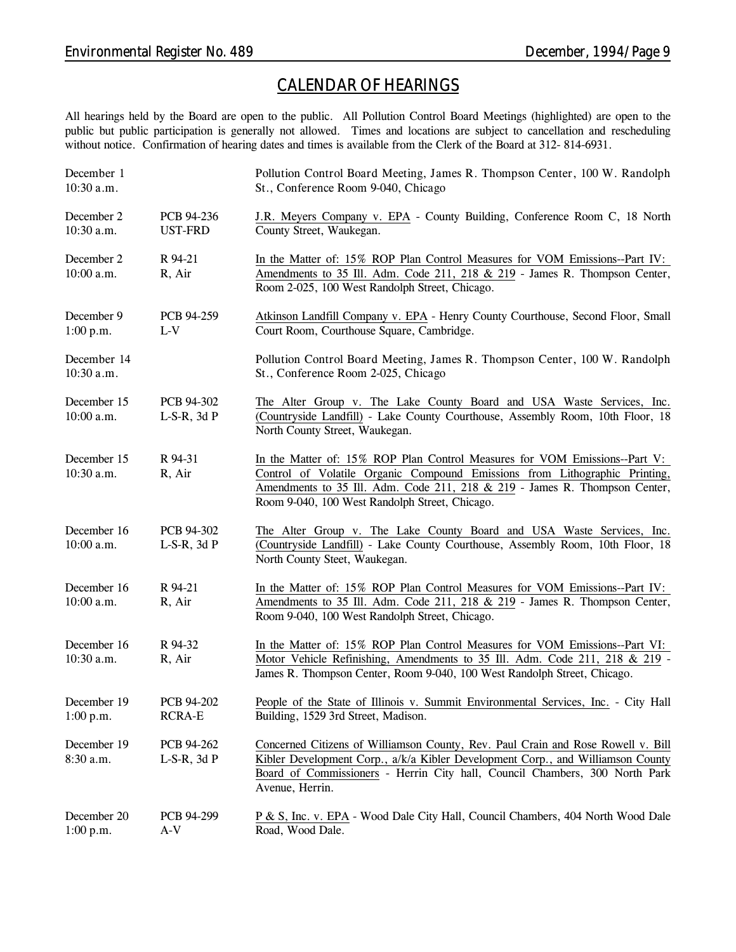# *CALENDAR OF HEARINGS*

All hearings held by the Board are open to the public. All Pollution Control Board Meetings (highlighted) are open to the public but public participation is generally not allowed. Times and locations are subject to cancellation and rescheduling without notice. Confirmation of hearing dates and times is available from the Clerk of the Board at 312-814-6931.

| December 1<br>10:30 a.m.    |                                | Pollution Control Board Meeting, James R. Thompson Center, 100 W. Randolph<br>St., Conference Room 9-040, Chicago                                                                                                                                                                        |
|-----------------------------|--------------------------------|------------------------------------------------------------------------------------------------------------------------------------------------------------------------------------------------------------------------------------------------------------------------------------------|
| December 2<br>10:30 a.m.    | PCB 94-236<br><b>UST-FRD</b>   | J.R. Meyers Company v. EPA - County Building, Conference Room C, 18 North<br>County Street, Waukegan.                                                                                                                                                                                    |
| December 2<br>10:00 a.m.    | R 94-21<br>R, Air              | In the Matter of: 15% ROP Plan Control Measures for VOM Emissions--Part IV:<br>Amendments to 35 Ill. Adm. Code 211, 218 & 219 - James R. Thompson Center,<br>Room 2-025, 100 West Randolph Street, Chicago.                                                                              |
| December 9<br>1:00 p.m.     | PCB 94-259<br>$L-V$            | Atkinson Landfill Company v. EPA - Henry County Courthouse, Second Floor, Small<br>Court Room, Courthouse Square, Cambridge.                                                                                                                                                             |
| December 14<br>10:30 a.m.   |                                | Pollution Control Board Meeting, James R. Thompson Center, 100 W. Randolph<br>St., Conference Room 2-025, Chicago                                                                                                                                                                        |
| December 15<br>10:00 a.m.   | PCB 94-302<br>$L-S-R$ , 3d $P$ | The Alter Group v. The Lake County Board and USA Waste Services, Inc.<br>(Countryside Landfill) - Lake County Courthouse, Assembly Room, 10th Floor, 18<br>North County Street, Waukegan.                                                                                                |
| December 15<br>10:30 a.m.   | R 94-31<br>R, Air              | In the Matter of: 15% ROP Plan Control Measures for VOM Emissions--Part V:<br>Control of Volatile Organic Compound Emissions from Lithographic Printing,<br>Amendments to 35 Ill. Adm. Code 211, 218 & 219 - James R. Thompson Center,<br>Room 9-040, 100 West Randolph Street, Chicago. |
| December 16<br>10:00 a.m.   | PCB 94-302<br>$L-S-R$ , 3d $P$ | The Alter Group v. The Lake County Board and USA Waste Services, Inc.<br>(Countryside Landfill) - Lake County Courthouse, Assembly Room, 10th Floor, 18<br>North County Steet, Waukegan.                                                                                                 |
| December 16<br>$10:00$ a.m. | R 94-21<br>R, Air              | In the Matter of: 15% ROP Plan Control Measures for VOM Emissions--Part IV:<br>Amendments to 35 Ill. Adm. Code 211, 218 & 219 - James R. Thompson Center,<br>Room 9-040, 100 West Randolph Street, Chicago.                                                                              |
| December 16<br>10:30 a.m.   | R 94-32<br>R, Air              | In the Matter of: 15% ROP Plan Control Measures for VOM Emissions--Part VI:<br>Motor Vehicle Refinishing, Amendments to 35 Ill. Adm. Code 211, 218 & 219 -<br>James R. Thompson Center, Room 9-040, 100 West Randolph Street, Chicago.                                                   |
| December 19<br>1:00 p.m.    | PCB 94-202<br><b>RCRA-E</b>    | People of the State of Illinois v. Summit Environmental Services, Inc. - City Hall<br>Building, 1529 3rd Street, Madison.                                                                                                                                                                |
| December 19<br>8:30 a.m.    | PCB 94-262<br>$L-S-R$ , 3d $P$ | Concerned Citizens of Williamson County, Rev. Paul Crain and Rose Rowell v. Bill<br>Kibler Development Corp., a/k/a Kibler Development Corp., and Williamson County<br>Board of Commissioners - Herrin City hall, Council Chambers, 300 North Park<br>Avenue, Herrin.                    |
| December 20<br>1:00 p.m.    | PCB 94-299<br>$A-V$            | P & S, Inc. v. EPA - Wood Dale City Hall, Council Chambers, 404 North Wood Dale<br>Road, Wood Dale.                                                                                                                                                                                      |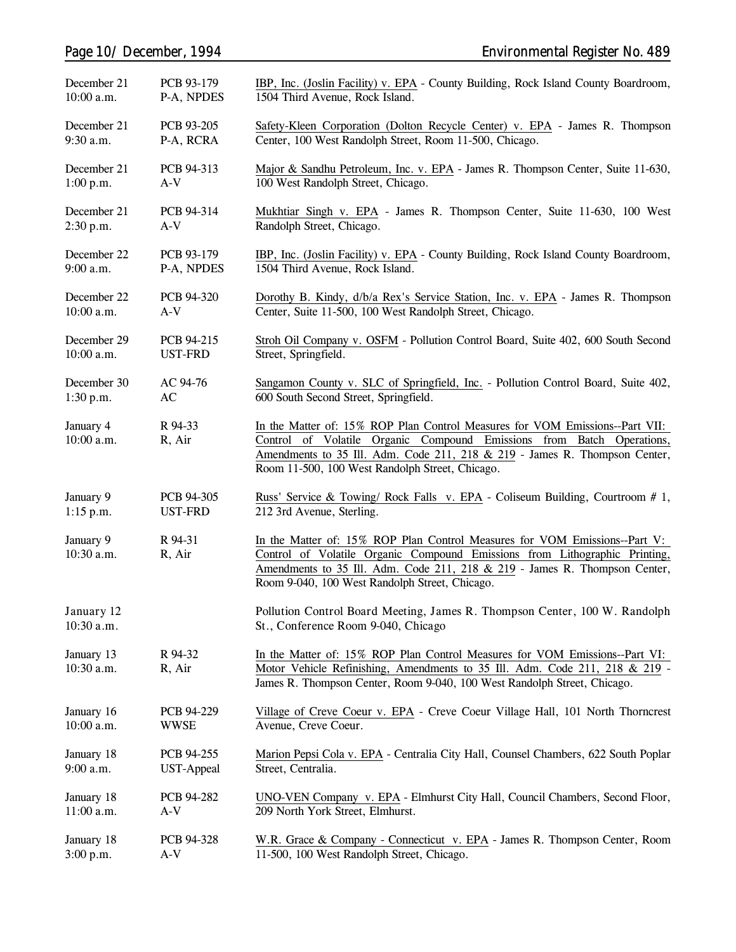| December 21              | PCB 93-179        | IBP, Inc. (Joslin Facility) v. EPA - County Building, Rock Island County Boardroom,                                                                                                                                                                                                      |  |
|--------------------------|-------------------|------------------------------------------------------------------------------------------------------------------------------------------------------------------------------------------------------------------------------------------------------------------------------------------|--|
| 10:00 a.m.               | P-A, NPDES        | 1504 Third Avenue, Rock Island.                                                                                                                                                                                                                                                          |  |
| December 21              | PCB 93-205        | Safety-Kleen Corporation (Dolton Recycle Center) v. EPA - James R. Thompson                                                                                                                                                                                                              |  |
| 9:30 a.m.                | P-A, RCRA         | Center, 100 West Randolph Street, Room 11-500, Chicago.                                                                                                                                                                                                                                  |  |
| December 21              | PCB 94-313        | Major & Sandhu Petroleum, Inc. v. EPA - James R. Thompson Center, Suite 11-630,                                                                                                                                                                                                          |  |
| 1:00 p.m.                | $A-V$             | 100 West Randolph Street, Chicago.                                                                                                                                                                                                                                                       |  |
| December 21              | PCB 94-314        | Mukhtiar Singh v. EPA - James R. Thompson Center, Suite 11-630, 100 West                                                                                                                                                                                                                 |  |
| 2:30 p.m.                | $A-V$             | Randolph Street, Chicago.                                                                                                                                                                                                                                                                |  |
| December 22              | PCB 93-179        | IBP, Inc. (Joslin Facility) v. EPA - County Building, Rock Island County Boardroom,                                                                                                                                                                                                      |  |
| 9:00 a.m.                | P-A, NPDES        | 1504 Third Avenue, Rock Island.                                                                                                                                                                                                                                                          |  |
| December 22              | PCB 94-320        | Dorothy B. Kindy, d/b/a Rex's Service Station, Inc. v. EPA - James R. Thompson                                                                                                                                                                                                           |  |
| 10:00 a.m.               | $A-V$             | Center, Suite 11-500, 100 West Randolph Street, Chicago.                                                                                                                                                                                                                                 |  |
| December 29              | PCB 94-215        | Stroh Oil Company v. OSFM - Pollution Control Board, Suite 402, 600 South Second                                                                                                                                                                                                         |  |
| $10:00$ a.m.             | <b>UST-FRD</b>    | Street, Springfield.                                                                                                                                                                                                                                                                     |  |
| December 30              | AC 94-76          | Sangamon County v. SLC of Springfield, Inc. - Pollution Control Board, Suite 402,                                                                                                                                                                                                        |  |
| 1:30 p.m.                | AC                | 600 South Second Street, Springfield.                                                                                                                                                                                                                                                    |  |
| January 4<br>10:00 a.m.  | R 94-33<br>R, Air | In the Matter of: 15% ROP Plan Control Measures for VOM Emissions--Part VII:<br>Control of Volatile Organic Compound Emissions from Batch Operations,<br>Amendments to 35 Ill. Adm. Code 211, 218 & 219 - James R. Thompson Center,<br>Room 11-500, 100 West Randolph Street, Chicago.   |  |
| January 9                | PCB 94-305        | Russ' Service & Towing/ Rock Falls v. EPA - Coliseum Building, Courtroom # 1,                                                                                                                                                                                                            |  |
| $1:15$ p.m.              | <b>UST-FRD</b>    | 212 3rd Avenue, Sterling.                                                                                                                                                                                                                                                                |  |
| January 9<br>10:30 a.m.  | R 94-31<br>R, Air | In the Matter of: 15% ROP Plan Control Measures for VOM Emissions--Part V:<br>Control of Volatile Organic Compound Emissions from Lithographic Printing,<br>Amendments to 35 Ill. Adm. Code 211, 218 & 219 - James R. Thompson Center,<br>Room 9-040, 100 West Randolph Street, Chicago. |  |
| January 12<br>10:30 a.m. |                   | Pollution Control Board Meeting, James R. Thompson Center, 100 W. Randolph<br>St., Conference Room 9-040, Chicago                                                                                                                                                                        |  |
| January 13<br>10:30 a.m. | R 94-32<br>R, Air | In the Matter of: 15% ROP Plan Control Measures for VOM Emissions--Part VI:<br>Motor Vehicle Refinishing, Amendments to 35 Ill. Adm. Code 211, 218 & 219 -<br>James R. Thompson Center, Room 9-040, 100 West Randolph Street, Chicago.                                                   |  |
| January 16               | PCB 94-229        | Village of Creve Coeur v. EPA - Creve Coeur Village Hall, 101 North Thorncrest                                                                                                                                                                                                           |  |
| 10:00 a.m.               | <b>WWSE</b>       | Avenue, Creve Coeur.                                                                                                                                                                                                                                                                     |  |
| January 18               | PCB 94-255        | Marion Pepsi Cola v. EPA - Centralia City Hall, Counsel Chambers, 622 South Poplar                                                                                                                                                                                                       |  |
| $9:00$ a.m.              | <b>UST-Appeal</b> | Street, Centralia.                                                                                                                                                                                                                                                                       |  |
| January 18               | PCB 94-282        | UNO-VEN Company v. EPA - Elmhurst City Hall, Council Chambers, Second Floor,                                                                                                                                                                                                             |  |
| 11:00 a.m.               | A-V               | 209 North York Street, Elmhurst.                                                                                                                                                                                                                                                         |  |
| January 18               | PCB 94-328        | W.R. Grace & Company - Connecticut v. EPA - James R. Thompson Center, Room                                                                                                                                                                                                               |  |
| 3:00 p.m.                | $A-V$             | 11-500, 100 West Randolph Street, Chicago.                                                                                                                                                                                                                                               |  |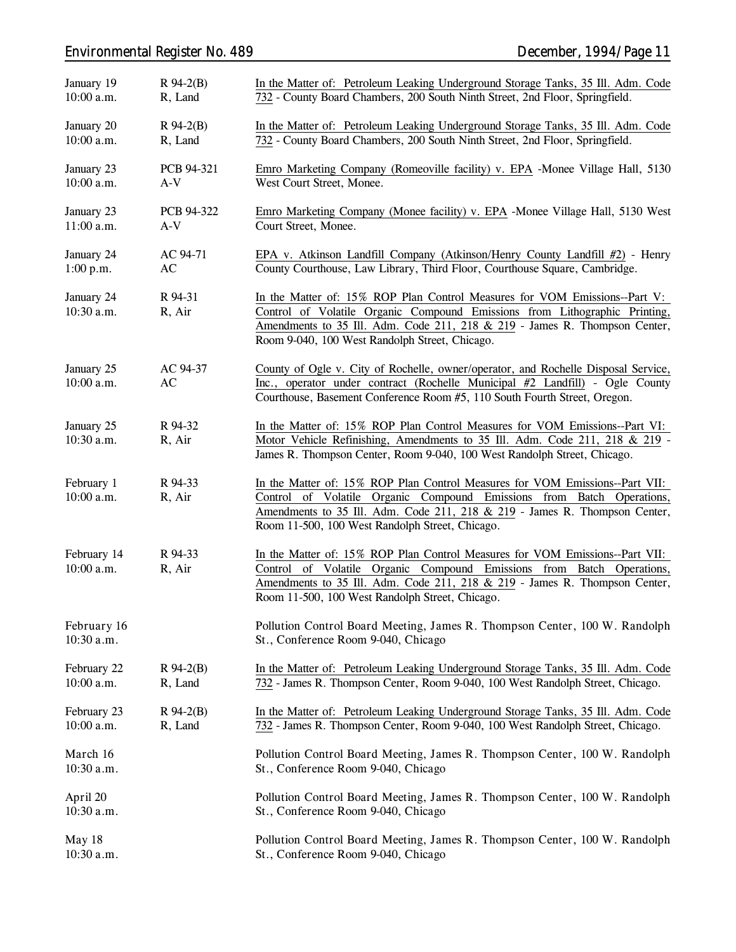# *Environmental Register No. 489 December, 1994/Page 11*

| January 19<br>10:00 a.m.  | $R$ 94-2(B)<br>R, Land             | In the Matter of: Petroleum Leaking Underground Storage Tanks, 35 Ill. Adm. Code<br>732 - County Board Chambers, 200 South Ninth Street, 2nd Floor, Springfield.                                                                                                                         |  |
|---------------------------|------------------------------------|------------------------------------------------------------------------------------------------------------------------------------------------------------------------------------------------------------------------------------------------------------------------------------------|--|
| January 20<br>10:00 a.m.  | $R$ 94-2(B)<br>R, Land             | In the Matter of: Petroleum Leaking Underground Storage Tanks, 35 Ill. Adm. Code<br>732 - County Board Chambers, 200 South Ninth Street, 2nd Floor, Springfield.                                                                                                                         |  |
| January 23<br>10:00 a.m.  | PCB 94-321<br>$A-V$                | Emro Marketing Company (Romeoville facility) v. EPA -Monee Village Hall, 5130<br>West Court Street, Monee.                                                                                                                                                                               |  |
| January 23<br>11:00 a.m.  | PCB 94-322<br>$A-V$                | Emro Marketing Company (Monee facility) v. EPA -Monee Village Hall, 5130 West<br>Court Street, Monee.                                                                                                                                                                                    |  |
| January 24<br>1:00 p.m.   | AC 94-71<br>$\mathbf{A}\mathbf{C}$ | EPA v. Atkinson Landfill Company (Atkinson/Henry County Landfill #2) - Henry<br>County Courthouse, Law Library, Third Floor, Courthouse Square, Cambridge.                                                                                                                               |  |
| January 24<br>10:30 a.m.  | R 94-31<br>R, Air                  | In the Matter of: 15% ROP Plan Control Measures for VOM Emissions--Part V:<br>Control of Volatile Organic Compound Emissions from Lithographic Printing,<br>Amendments to 35 Ill. Adm. Code 211, 218 & 219 - James R. Thompson Center,<br>Room 9-040, 100 West Randolph Street, Chicago. |  |
| January 25<br>10:00 a.m.  | AC 94-37<br>AC                     | County of Ogle v. City of Rochelle, owner/operator, and Rochelle Disposal Service,<br>Inc., operator under contract (Rochelle Municipal #2 Landfill) - Ogle County<br>Courthouse, Basement Conference Room #5, 110 South Fourth Street, Oregon.                                          |  |
| January 25<br>10:30 a.m.  | R 94-32<br>R, Air                  | In the Matter of: 15% ROP Plan Control Measures for VOM Emissions--Part VI:<br>Motor Vehicle Refinishing, Amendments to 35 Ill. Adm. Code 211, 218 & 219 -<br>James R. Thompson Center, Room 9-040, 100 West Randolph Street, Chicago.                                                   |  |
| February 1<br>10:00 a.m.  | R 94-33<br>R, Air                  | In the Matter of: 15% ROP Plan Control Measures for VOM Emissions--Part VII:<br>Control of Volatile Organic Compound Emissions from Batch Operations,<br>Amendments to 35 Ill. Adm. Code 211, 218 & 219 - James R. Thompson Center,<br>Room 11-500, 100 West Randolph Street, Chicago.   |  |
| February 14<br>10:00 a.m. | R 94-33<br>R, Air                  | In the Matter of: 15% ROP Plan Control Measures for VOM Emissions--Part VII:<br>Control of Volatile Organic Compound Emissions from Batch Operations,<br>Amendments to 35 Ill. Adm. Code 211, 218 & 219 - James R. Thompson Center,<br>Room 11-500, 100 West Randolph Street, Chicago.   |  |
| February 16<br>10:30 a.m. |                                    | Pollution Control Board Meeting, James R. Thompson Center, 100 W. Randolph<br>St., Conference Room 9-040, Chicago                                                                                                                                                                        |  |
| February 22<br>10:00 a.m. | $R$ 94-2(B)<br>R, Land             | In the Matter of: Petroleum Leaking Underground Storage Tanks, 35 Ill. Adm. Code<br>732 - James R. Thompson Center, Room 9-040, 100 West Randolph Street, Chicago.                                                                                                                       |  |
| February 23<br>10:00 a.m. | $R$ 94-2(B)<br>R, Land             | In the Matter of: Petroleum Leaking Underground Storage Tanks, 35 Ill. Adm. Code<br>732 - James R. Thompson Center, Room 9-040, 100 West Randolph Street, Chicago.                                                                                                                       |  |
| March 16<br>10:30 a.m.    |                                    | Pollution Control Board Meeting, James R. Thompson Center, 100 W. Randolph<br>St., Conference Room 9-040, Chicago                                                                                                                                                                        |  |
| April 20<br>$10:30$ a.m.  |                                    | Pollution Control Board Meeting, James R. Thompson Center, 100 W. Randolph<br>St., Conference Room 9-040, Chicago                                                                                                                                                                        |  |
| May 18<br>10:30 a.m.      |                                    | Pollution Control Board Meeting, James R. Thompson Center, 100 W. Randolph<br>St., Conference Room 9-040, Chicago                                                                                                                                                                        |  |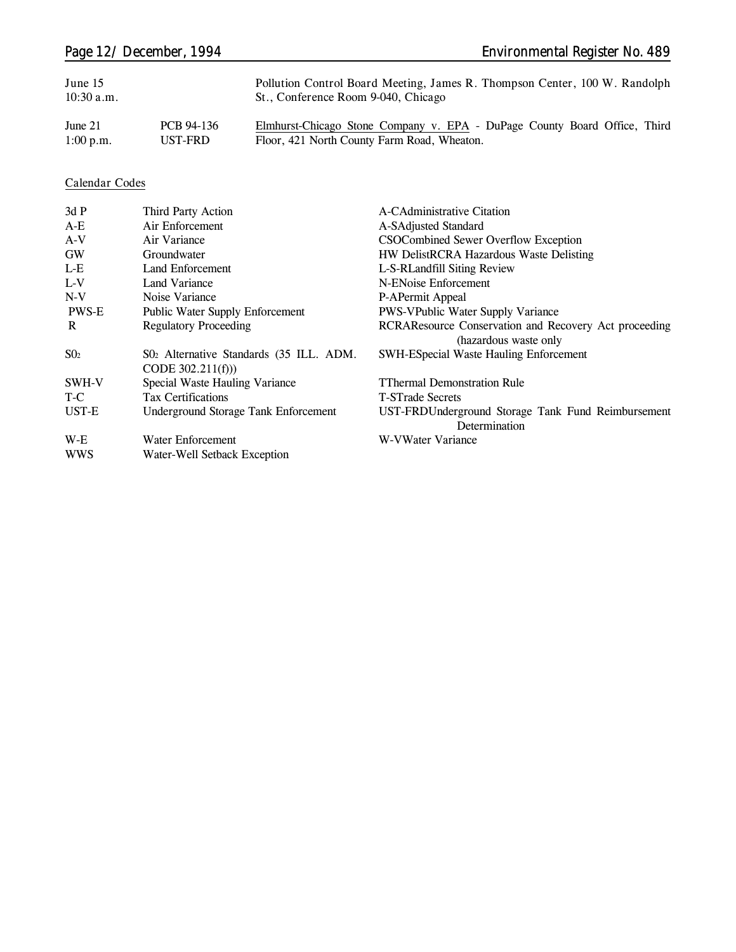| June 15      |            | Pollution Control Board Meeting, James R. Thompson Center, 100 W. Randolph |
|--------------|------------|----------------------------------------------------------------------------|
| $10:30$ a.m. |            | St., Conference Room 9-040, Chicago                                        |
| June $21$    | PCB 94-136 | Elmhurst-Chicago Stone Company v. EPA - DuPage County Board Office, Third  |

1:00 p.m. UST-FRD PCB 94-136 Elmhurst-Chicago Stone Company v. EPA - DuPage County Board Office, Third Floor, 421 North County Farm Road, Wheaton.

### **Calendar Codes**

| 3dP          | Third Party Action                                            | A-CAdministrative Citation                                                     |
|--------------|---------------------------------------------------------------|--------------------------------------------------------------------------------|
| $A-E$        | Air Enforcement                                               | A-SAdjusted Standard                                                           |
| $A-V$        | Air Variance                                                  | CSOCombined Sewer Overflow Exception                                           |
| <b>GW</b>    | Groundwater                                                   | HW DelistRCRA Hazardous Waste Delisting                                        |
| $L-E$        | Land Enforcement                                              | L-S-RLandfill Siting Review                                                    |
| $L-V$        | Land Variance                                                 | N-ENoise Enforcement                                                           |
| $N-V$        | Noise Variance                                                | P-APermit Appeal                                                               |
| <b>PWS-E</b> | <b>Public Water Supply Enforcement</b>                        | <b>PWS-VPublic Water Supply Variance</b>                                       |
| R            | <b>Regulatory Proceeding</b>                                  | RCRAResource Conservation and Recovery Act proceeding<br>(hazardous waste only |
| $S_{02}$     | S02 Alternative Standards (35 ILL. ADM.<br>CODE $302.211(f))$ | <b>SWH-ESpecial Waste Hauling Enforcement</b>                                  |
| SWH-V        | Special Waste Hauling Variance                                | <b>TThermal Demonstration Rule</b>                                             |
| T-C          | <b>Tax Certifications</b>                                     | <b>T-STrade Secrets</b>                                                        |
| UST-E        | Underground Storage Tank Enforcement                          | UST-FRDUnderground Storage Tank Fund Reimbursement<br>Determination            |
| $W-E$        | Water Enforcement                                             | W-VWater Variance                                                              |
| <b>WWS</b>   | Water-Well Setback Exception                                  |                                                                                |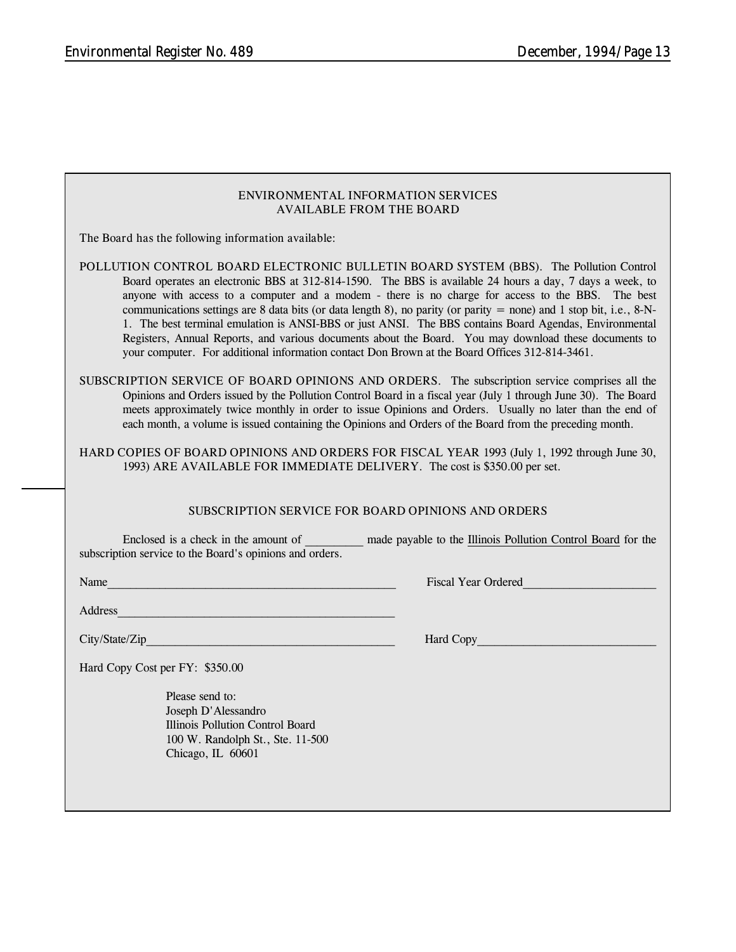#### **ENVIRONMENTAL INFORMATION SERVICES AVAILABLE FROM THE BOARD**

**The Board has the following information available:**

**POLLUTION CONTROL BOARD ELECTRONIC BULLETIN BOARD SYSTEM (BBS).** The Pollution Control Board operates an electronic BBS at 312-814-1590. The BBS is available 24 hours a day, 7 days a week, to anyone with access to a computer and a modem - there is no charge for access to the BBS. The best communications settings are 8 data bits (or data length 8), no parity (or parity  $=$  none) and 1 stop bit, i.e., 8-N-1. The best terminal emulation is ANSI-BBS or just ANSI. The BBS contains Board Agendas, Environmental Registers, Annual Reports, and various documents about the Board. You may download these documents to your computer. For additional information contact Don Brown at the Board Offices 312-814-3461.

**SUBSCRIPTION SERVICE OF BOARD OPINIONS AND ORDERS.** The subscription service comprises all the Opinions and Orders issued by the Pollution Control Board in a fiscal year (July 1 through June 30). The Board meets approximately twice monthly in order to issue Opinions and Orders. Usually no later than the end of each month, a volume is issued containing the Opinions and Orders of the Board from the preceding month.

**HARD COPIES OF BOARD OPINIONS AND ORDERS FOR FISCAL YEAR 1993** (July 1, 1992 through June 30, 1993) **ARE AVAILABLE FOR IMMEDIATE DELIVERY.** The cost is \$350.00 per set.

#### **SUBSCRIPTION SERVICE FOR BOARD OPINIONS AND ORDERS**

Enclosed is a check in the amount of \_\_\_\_\_\_\_\_\_\_ made payable to the Illinois Pollution Control Board for the subscription service to the Board's opinions and orders.

Name The Contract of the Contract of the Contract of the Contract of the Contract of the Contract of the Contract of the Contract of the Contract of the Contract of the Contract of the Contract of the Contract of the Contr

Address\_\_\_\_\_\_\_\_\_\_\_\_\_\_\_\_\_\_\_\_\_\_\_\_\_\_\_\_\_\_\_\_\_\_\_\_\_\_\_\_\_\_\_\_\_\_\_\_

City/State/Zip **Example 2** and the control of the control of the control of the control of the control of the control of the control of the control of the control of the control of the control of the control of the control

Hard Copy Cost per FY: \$350.00

Please send to: Joseph D'Alessandro Illinois Pollution Control Board 100 W. Randolph St., Ste. 11-500 Chicago, IL 60601